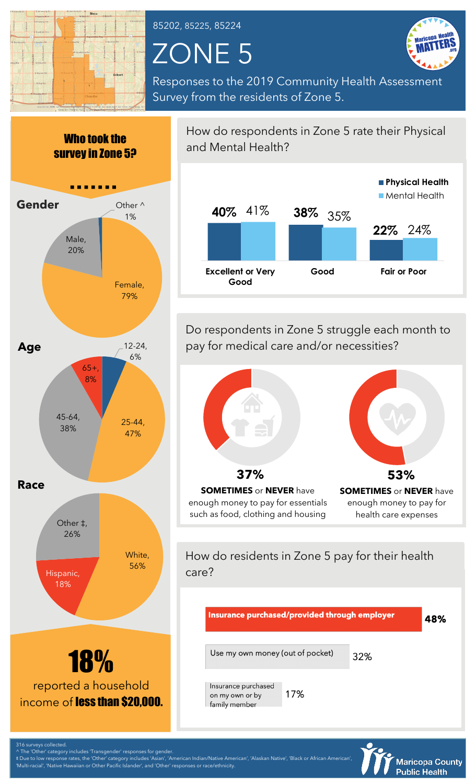

85202, 85225, 85224

## ZONE 5



Responses to the 2019 Community Health Assessment Survey from the residents of Zone 5.



'Multi-racial', 'Native Hawaiian or Other Pacific Islander', and 'Other' responses or race/ethnicity.

How do respondents in Zone 5 rate their Physical and Mental Health?



Do respondents in Zone 5 struggle each month to pay for medical care and/or necessities?



How do residents in Zone 5 pay for their health care?